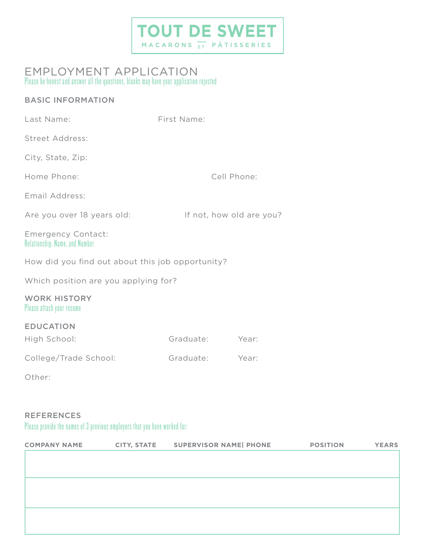# **TOUT DE SWEET**

## Please be honest and answer all the questions, blanks may have your application rejected EMPLOYMENT APPLICATION

## BASIC INFORMATION

| Last Name:                                                  | First Name: |                          |  |  |
|-------------------------------------------------------------|-------------|--------------------------|--|--|
| <b>Street Address:</b>                                      |             |                          |  |  |
| City, State, Zip:                                           |             |                          |  |  |
| Home Phone:                                                 |             | Cell Phone:              |  |  |
| Email Address:                                              |             |                          |  |  |
| Are you over 18 years old:                                  |             | If not, how old are you? |  |  |
| <b>Emergency Contact:</b><br>Relationship, Name, and Number |             |                          |  |  |
| How did you find out about this job opportunity?            |             |                          |  |  |
| Which position are you applying for?                        |             |                          |  |  |
| <b>WORK HISTORY</b><br>Please attach your resume            |             |                          |  |  |
| <b>EDUCATION</b>                                            |             |                          |  |  |
| High School:                                                | Graduate:   | Year:                    |  |  |
| College/Trade School:                                       | Graduate:   | Year:                    |  |  |
| Other:                                                      |             |                          |  |  |
|                                                             |             |                          |  |  |
| <b>REFERENCES</b>                                           |             |                          |  |  |

Please provide the names of 3 previous employers that you have worked for:

| <b>COMPANY NAME</b> | CITY, STATE SUPERVISOR NAME   PHONE | <b>POSITION</b> | <b>YEARS</b> |
|---------------------|-------------------------------------|-----------------|--------------|
|                     |                                     |                 |              |
|                     |                                     |                 |              |
|                     |                                     |                 |              |
|                     |                                     |                 |              |
|                     |                                     |                 |              |
|                     |                                     |                 |              |
|                     |                                     |                 |              |
|                     |                                     |                 |              |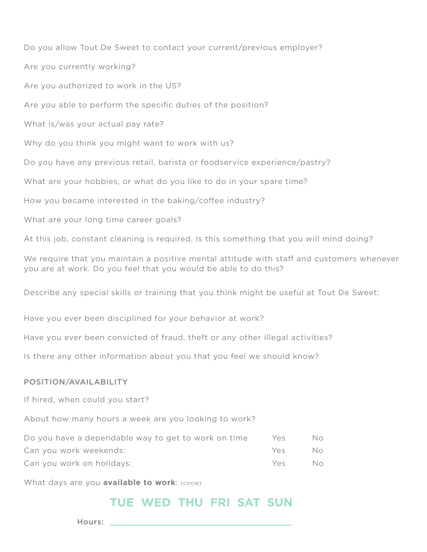Do you allow Tout De Sweet to contact your current/previous employer? Are you currently working? Are you authorized to work in the US? Are you able to perform the specific duties of the position? What is/was your actual pay rate? Why do you think you might want to work with us? Do you have any previous retail, barista or foodservice experience/pastry? What are your hobbies, or what do you like to do in your spare time? How you became interested in the baking/coffee industry? What are your long time career goals? At this job, constant cleaning is required. Is this something that you will mind doing?

We require that you maintain a positive mental attitude with staff and customers whenever you are at work. Do you feel that you would be able to do this?

Describe any special skills or training that you think might be useful at Tout De Sweet:

Have you ever been disciplined for your behavior at work?

Have you ever been convicted of fraud, theft or any other illegal activities?

Is there any other information about you that you feel we should know?

## POSITION/AVAILABILITY

If hired, when could you start?

About how many hours a week are you looking to work?

| Do you have a dependable way to get to work on time | Yes. | No. |
|-----------------------------------------------------|------|-----|
| Can you work weekends:                              | YAS  | No. |
| Can you work on holidays:                           | Yes  | No. |

What days are you **available to work**: (circle)

## TUE WED THU FRI SAT SUN

Hours: